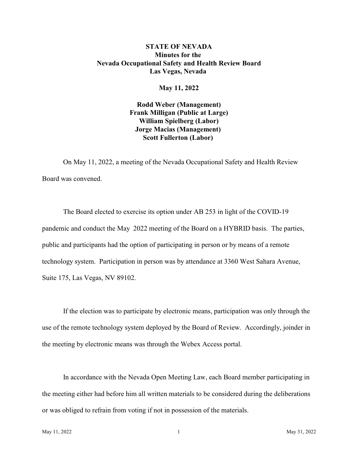# **STATE OF NEVADA Minutes for the Nevada Occupational Safety and Health Review Board Las Vegas, Nevada**

## **May 11, 2022**

**Rodd Weber (Management) Frank Milligan (Public at Large) William Spielberg (Labor) Jorge Macias (Management) Scott Fullerton (Labor)** 

On May 11, 2022, a meeting of the Nevada Occupational Safety and Health Review Board was convened.

The Board elected to exercise its option under AB 253 in light of the COVID-19 pandemic and conduct the May 2022 meeting of the Board on a HYBRID basis. The parties, public and participants had the option of participating in person or by means of a remote technology system. Participation in person was by attendance at 3360 West Sahara Avenue, Suite 175, Las Vegas, NV 89102.

If the election was to participate by electronic means, participation was only through the use of the remote technology system deployed by the Board of Review. Accordingly, joinder in the meeting by electronic means was through the Webex Access portal.

In accordance with the Nevada Open Meeting Law, each Board member participating in the meeting either had before him all written materials to be considered during the deliberations or was obliged to refrain from voting if not in possession of the materials.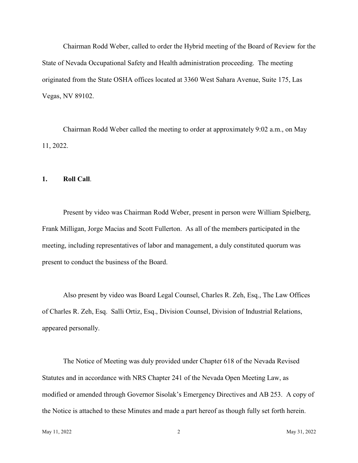Chairman Rodd Weber, called to order the Hybrid meeting of the Board of Review for the State of Nevada Occupational Safety and Health administration proceeding. The meeting originated from the State OSHA offices located at 3360 West Sahara Avenue, Suite 175, Las Vegas, NV 89102.

Chairman Rodd Weber called the meeting to order at approximately 9:02 a.m., on May 11, 2022.

## **1. Roll Call**.

Present by video was Chairman Rodd Weber, present in person were William Spielberg, Frank Milligan, Jorge Macias and Scott Fullerton. As all of the members participated in the meeting, including representatives of labor and management, a duly constituted quorum was present to conduct the business of the Board.

Also present by video was Board Legal Counsel, Charles R. Zeh, Esq., The Law Offices of Charles R. Zeh, Esq. Salli Ortiz, Esq., Division Counsel, Division of Industrial Relations, appeared personally.

The Notice of Meeting was duly provided under Chapter 618 of the Nevada Revised Statutes and in accordance with NRS Chapter 241 of the Nevada Open Meeting Law, as modified or amended through Governor Sisolak's Emergency Directives and AB 253. A copy of the Notice is attached to these Minutes and made a part hereof as though fully set forth herein.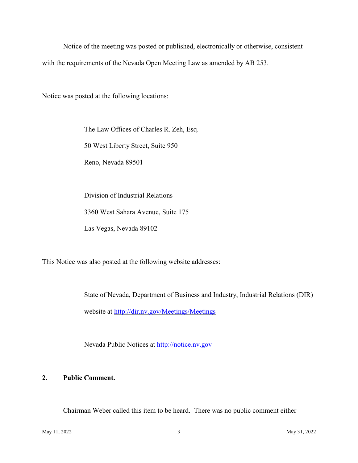Notice of the meeting was posted or published, electronically or otherwise, consistent with the requirements of the Nevada Open Meeting Law as amended by AB 253.

Notice was posted at the following locations:

The Law Offices of Charles R. Zeh, Esq.

50 West Liberty Street, Suite 950

Reno, Nevada 89501

Division of Industrial Relations 3360 West Sahara Avenue, Suite 175 Las Vegas, Nevada 89102

This Notice was also posted at the following website addresses:

State of Nevada, Department of Business and Industry, Industrial Relations (DIR) website at<http://dir.nv.gov/Meetings/Meetings>

Nevada Public Notices at<http://notice.nv.gov>

# **2. Public Comment.**

Chairman Weber called this item to be heard. There was no public comment either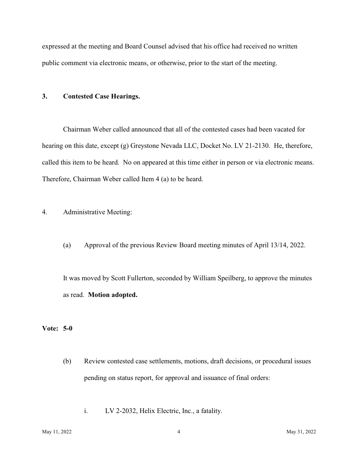expressed at the meeting and Board Counsel advised that his office had received no written public comment via electronic means, or otherwise, prior to the start of the meeting.

## **3. Contested Case Hearings.**

Chairman Weber called announced that all of the contested cases had been vacated for hearing on this date, except (g) Greystone Nevada LLC, Docket No. LV 21-2130. He, therefore, called this item to be heard. No on appeared at this time either in person or via electronic means. Therefore, Chairman Weber called Item 4 (a) to be heard.

- 4. Administrative Meeting:
	- (a) Approval of the previous Review Board meeting minutes of April 13/14, 2022.

It was moved by Scott Fullerton, seconded by William Speilberg, to approve the minutes as read. **Motion adopted.** 

### **Vote: 5-0**

- (b) Review contested case settlements, motions, draft decisions, or procedural issues pending on status report, for approval and issuance of final orders:
	- i. LV 2-2032, Helix Electric, Inc., a fatality.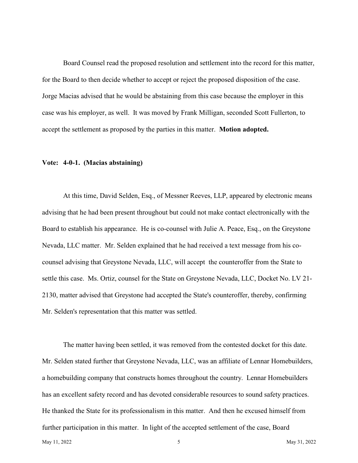Board Counsel read the proposed resolution and settlement into the record for this matter, for the Board to then decide whether to accept or reject the proposed disposition of the case. Jorge Macias advised that he would be abstaining from this case because the employer in this case was his employer, as well. It was moved by Frank Milligan, seconded Scott Fullerton, to accept the settlement as proposed by the parties in this matter. **Motion adopted.** 

### **Vote: 4-0-1. (Macias abstaining)**

At this time, David Selden, Esq., of Messner Reeves, LLP, appeared by electronic means advising that he had been present throughout but could not make contact electronically with the Board to establish his appearance. He is co-counsel with Julie A. Peace, Esq., on the Greystone Nevada, LLC matter. Mr. Selden explained that he had received a text message from his cocounsel advising that Greystone Nevada, LLC, will accept the counteroffer from the State to settle this case. Ms. Ortiz, counsel for the State on Greystone Nevada, LLC, Docket No. LV 21- 2130, matter advised that Greystone had accepted the State's counteroffer, thereby, confirming Mr. Selden's representation that this matter was settled.

The matter having been settled, it was removed from the contested docket for this date. Mr. Selden stated further that Greystone Nevada, LLC, was an affiliate of Lennar Homebuilders, a homebuilding company that constructs homes throughout the country. Lennar Homebuilders has an excellent safety record and has devoted considerable resources to sound safety practices. He thanked the State for its professionalism in this matter. And then he excused himself from further participation in this matter. In light of the accepted settlement of the case, Board May 11, 2022  $\sqrt{5}$  May 31, 2022  $\sqrt{2}$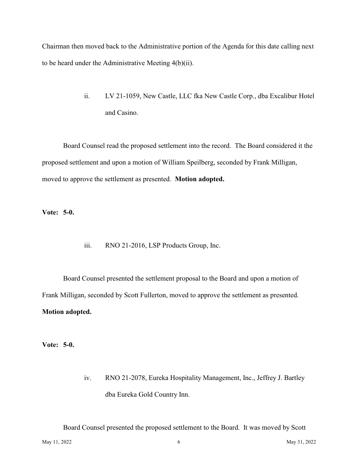Chairman then moved back to the Administrative portion of the Agenda for this date calling next to be heard under the Administrative Meeting 4(b)(ii).

> ii. LV 21-1059, New Castle, LLC fka New Castle Corp., dba Excalibur Hotel and Casino.

Board Counsel read the proposed settlement into the record. The Board considered it the proposed settlement and upon a motion of William Speilberg, seconded by Frank Milligan, moved to approve the settlement as presented. **Motion adopted.** 

**Vote: 5-0.** 

iii. RNO 21-2016, LSP Products Group, Inc.

Board Counsel presented the settlement proposal to the Board and upon a motion of Frank Milligan, seconded by Scott Fullerton, moved to approve the settlement as presented. **Motion adopted.** 

**Vote: 5-0.** 

iv. RNO 21-2078, Eureka Hospitality Management, Inc., Jeffrey J. Bartley dba Eureka Gold Country Inn.

Board Counsel presented the proposed settlement to the Board. It was moved by Scott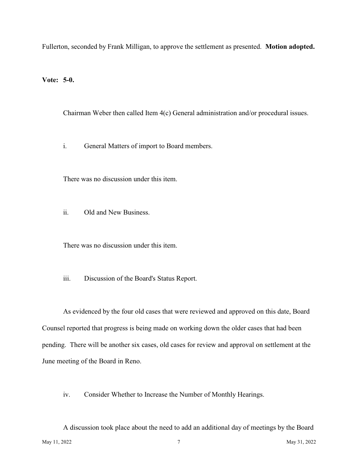Fullerton, seconded by Frank Milligan, to approve the settlement as presented. **Motion adopted.** 

**Vote: 5-0.** 

Chairman Weber then called Item 4(c) General administration and/or procedural issues.

i. General Matters of import to Board members.

There was no discussion under this item.

ii. Old and New Business.

There was no discussion under this item.

iii. Discussion of the Board's Status Report.

As evidenced by the four old cases that were reviewed and approved on this date, Board Counsel reported that progress is being made on working down the older cases that had been pending. There will be another six cases, old cases for review and approval on settlement at the June meeting of the Board in Reno.

iv. Consider Whether to Increase the Number of Monthly Hearings.

A discussion took place about the need to add an additional day of meetings by the Board May 11, 2022  $\sqrt{7}$  May 31, 2022 May 31, 2022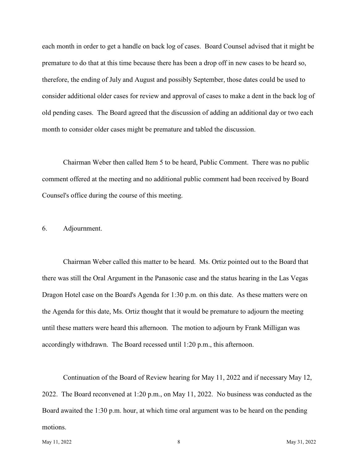each month in order to get a handle on back log of cases. Board Counsel advised that it might be premature to do that at this time because there has been a drop off in new cases to be heard so, therefore, the ending of July and August and possibly September, those dates could be used to consider additional older cases for review and approval of cases to make a dent in the back log of old pending cases. The Board agreed that the discussion of adding an additional day or two each month to consider older cases might be premature and tabled the discussion.

Chairman Weber then called Item 5 to be heard, Public Comment. There was no public comment offered at the meeting and no additional public comment had been received by Board Counsel's office during the course of this meeting.

### 6. Adjournment.

Chairman Weber called this matter to be heard. Ms. Ortiz pointed out to the Board that there was still the Oral Argument in the Panasonic case and the status hearing in the Las Vegas Dragon Hotel case on the Board's Agenda for 1:30 p.m. on this date. As these matters were on the Agenda for this date, Ms. Ortiz thought that it would be premature to adjourn the meeting until these matters were heard this afternoon. The motion to adjourn by Frank Milligan was accordingly withdrawn. The Board recessed until 1:20 p.m., this afternoon.

Continuation of the Board of Review hearing for May 11, 2022 and if necessary May 12, 2022. The Board reconvened at 1:20 p.m., on May 11, 2022. No business was conducted as the Board awaited the 1:30 p.m. hour, at which time oral argument was to be heard on the pending motions.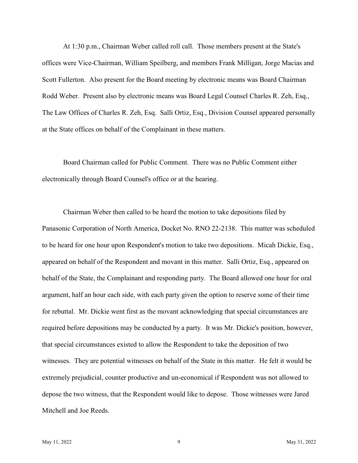At 1:30 p.m., Chairman Weber called roll call. Those members present at the State's offices were Vice-Chairman, William Speilberg, and members Frank Milligan, Jorge Macias and Scott Fullerton. Also present for the Board meeting by electronic means was Board Chairman Rodd Weber. Present also by electronic means was Board Legal Counsel Charles R. Zeh, Esq., The Law Offices of Charles R. Zeh, Esq. Salli Ortiz, Esq., Division Counsel appeared personally at the State offices on behalf of the Complainant in these matters.

Board Chairman called for Public Comment. There was no Public Comment either electronically through Board Counsel's office or at the hearing.

Chairman Weber then called to be heard the motion to take depositions filed by Panasonic Corporation of North America, Docket No. RNO 22-2138. This matter was scheduled to be heard for one hour upon Respondent's motion to take two depositions. Micah Dickie, Esq., appeared on behalf of the Respondent and movant in this matter. Salli Ortiz, Esq., appeared on behalf of the State, the Complainant and responding party. The Board allowed one hour for oral argument, half an hour each side, with each party given the option to reserve some of their time for rebuttal. Mr. Dickie went first as the movant acknowledging that special circumstances are required before depositions may be conducted by a party. It was Mr. Dickie's position, however, that special circumstances existed to allow the Respondent to take the deposition of two witnesses. They are potential witnesses on behalf of the State in this matter. He felt it would be extremely prejudicial, counter productive and un-economical if Respondent was not allowed to depose the two witness, that the Respondent would like to depose. Those witnesses were Jared Mitchell and Joe Reeds.

May 11, 2022 **May 31, 2022 May 31, 2022 May 31, 2022 May 31, 2022**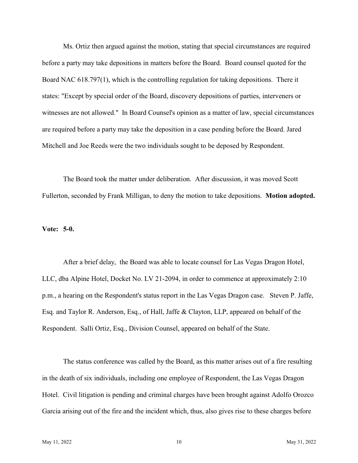Ms. Ortiz then argued against the motion, stating that special circumstances are required before a party may take depositions in matters before the Board. Board counsel quoted for the Board NAC 618.797(1), which is the controlling regulation for taking depositions. There it states: "Except by special order of the Board, discovery depositions of parties, interveners or witnesses are not allowed." In Board Counsel's opinion as a matter of law, special circumstances are required before a party may take the deposition in a case pending before the Board. Jared Mitchell and Joe Reeds were the two individuals sought to be deposed by Respondent.

The Board took the matter under deliberation. After discussion, it was moved Scott Fullerton, seconded by Frank Milligan, to deny the motion to take depositions. **Motion adopted.** 

#### **Vote: 5-0.**

After a brief delay, the Board was able to locate counsel for Las Vegas Dragon Hotel, LLC, dba Alpine Hotel, Docket No. LV 21-2094, in order to commence at approximately 2:10 p.m., a hearing on the Respondent's status report in the Las Vegas Dragon case. Steven P. Jaffe, Esq. and Taylor R. Anderson, Esq., of Hall, Jaffe & Clayton, LLP, appeared on behalf of the Respondent. Salli Ortiz, Esq., Division Counsel, appeared on behalf of the State.

The status conference was called by the Board, as this matter arises out of a fire resulting in the death of six individuals, including one employee of Respondent, the Las Vegas Dragon Hotel. Civil litigation is pending and criminal charges have been brought against Adolfo Orozco Garcia arising out of the fire and the incident which, thus, also gives rise to these charges before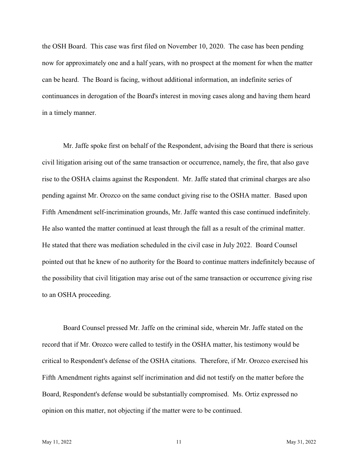the OSH Board. This case was first filed on November 10, 2020. The case has been pending now for approximately one and a half years, with no prospect at the moment for when the matter can be heard. The Board is facing, without additional information, an indefinite series of continuances in derogation of the Board's interest in moving cases along and having them heard in a timely manner.

Mr. Jaffe spoke first on behalf of the Respondent, advising the Board that there is serious civil litigation arising out of the same transaction or occurrence, namely, the fire, that also gave rise to the OSHA claims against the Respondent. Mr. Jaffe stated that criminal charges are also pending against Mr. Orozco on the same conduct giving rise to the OSHA matter. Based upon Fifth Amendment self-incrimination grounds, Mr. Jaffe wanted this case continued indefinitely. He also wanted the matter continued at least through the fall as a result of the criminal matter. He stated that there was mediation scheduled in the civil case in July 2022. Board Counsel pointed out that he knew of no authority for the Board to continue matters indefinitely because of the possibility that civil litigation may arise out of the same transaction or occurrence giving rise to an OSHA proceeding.

Board Counsel pressed Mr. Jaffe on the criminal side, wherein Mr. Jaffe stated on the record that if Mr. Orozco were called to testify in the OSHA matter, his testimony would be critical to Respondent's defense of the OSHA citations. Therefore, if Mr. Orozco exercised his Fifth Amendment rights against self incrimination and did not testify on the matter before the Board, Respondent's defense would be substantially compromised. Ms. Ortiz expressed no opinion on this matter, not objecting if the matter were to be continued.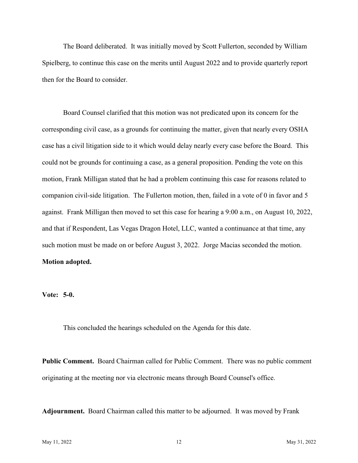The Board deliberated. It was initially moved by Scott Fullerton, seconded by William Spielberg, to continue this case on the merits until August 2022 and to provide quarterly report then for the Board to consider.

Board Counsel clarified that this motion was not predicated upon its concern for the corresponding civil case, as a grounds for continuing the matter, given that nearly every OSHA case has a civil litigation side to it which would delay nearly every case before the Board. This could not be grounds for continuing a case, as a general proposition. Pending the vote on this motion, Frank Milligan stated that he had a problem continuing this case for reasons related to companion civil-side litigation. The Fullerton motion, then, failed in a vote of 0 in favor and 5 against. Frank Milligan then moved to set this case for hearing a 9:00 a.m., on August 10, 2022, and that if Respondent, Las Vegas Dragon Hotel, LLC, wanted a continuance at that time, any such motion must be made on or before August 3, 2022. Jorge Macias seconded the motion. **Motion adopted.** 

**Vote: 5-0.** 

This concluded the hearings scheduled on the Agenda for this date.

Public Comment. Board Chairman called for Public Comment. There was no public comment originating at the meeting nor via electronic means through Board Counsel's office.

**Adjournment.** Board Chairman called this matter to be adjourned. It was moved by Frank